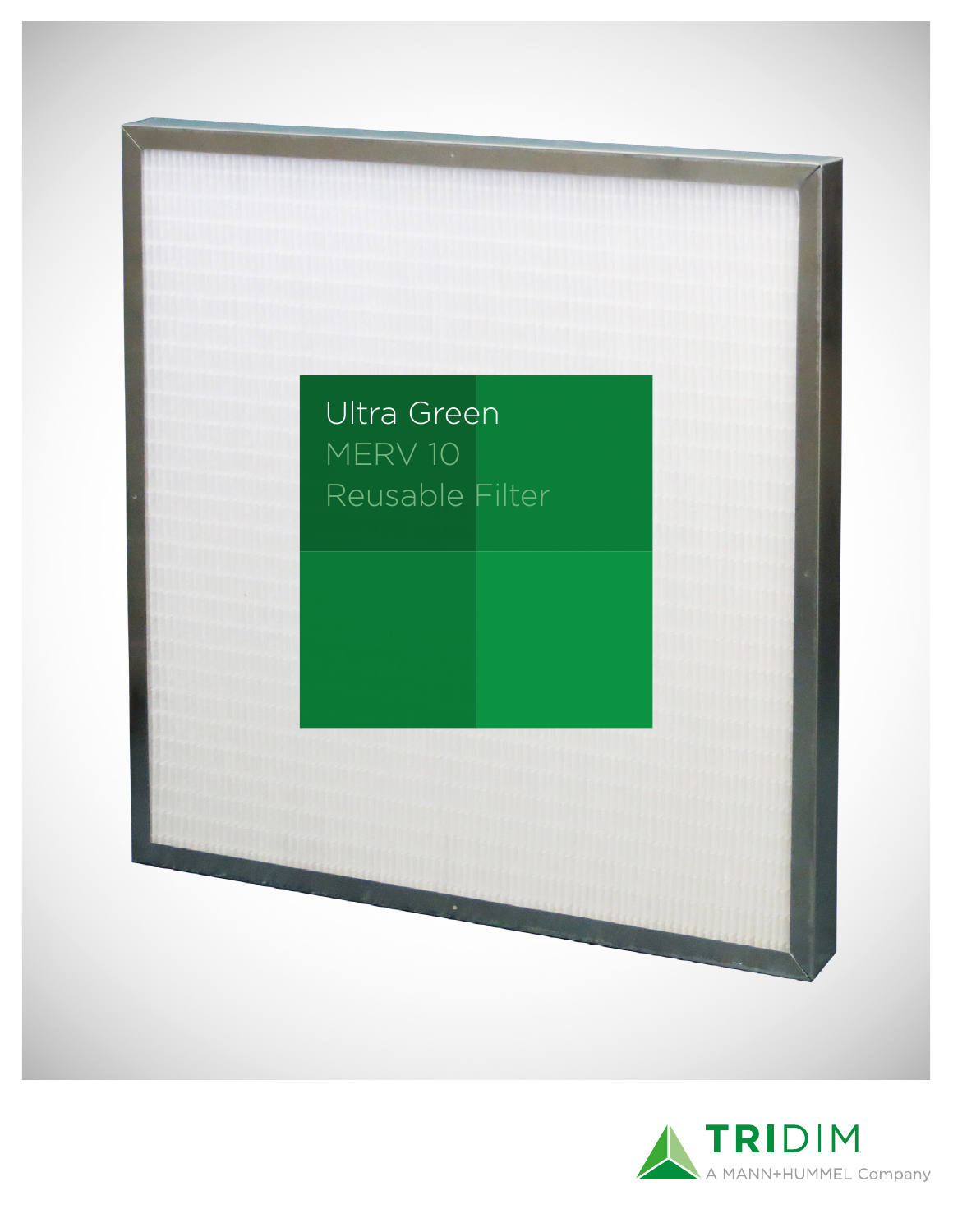

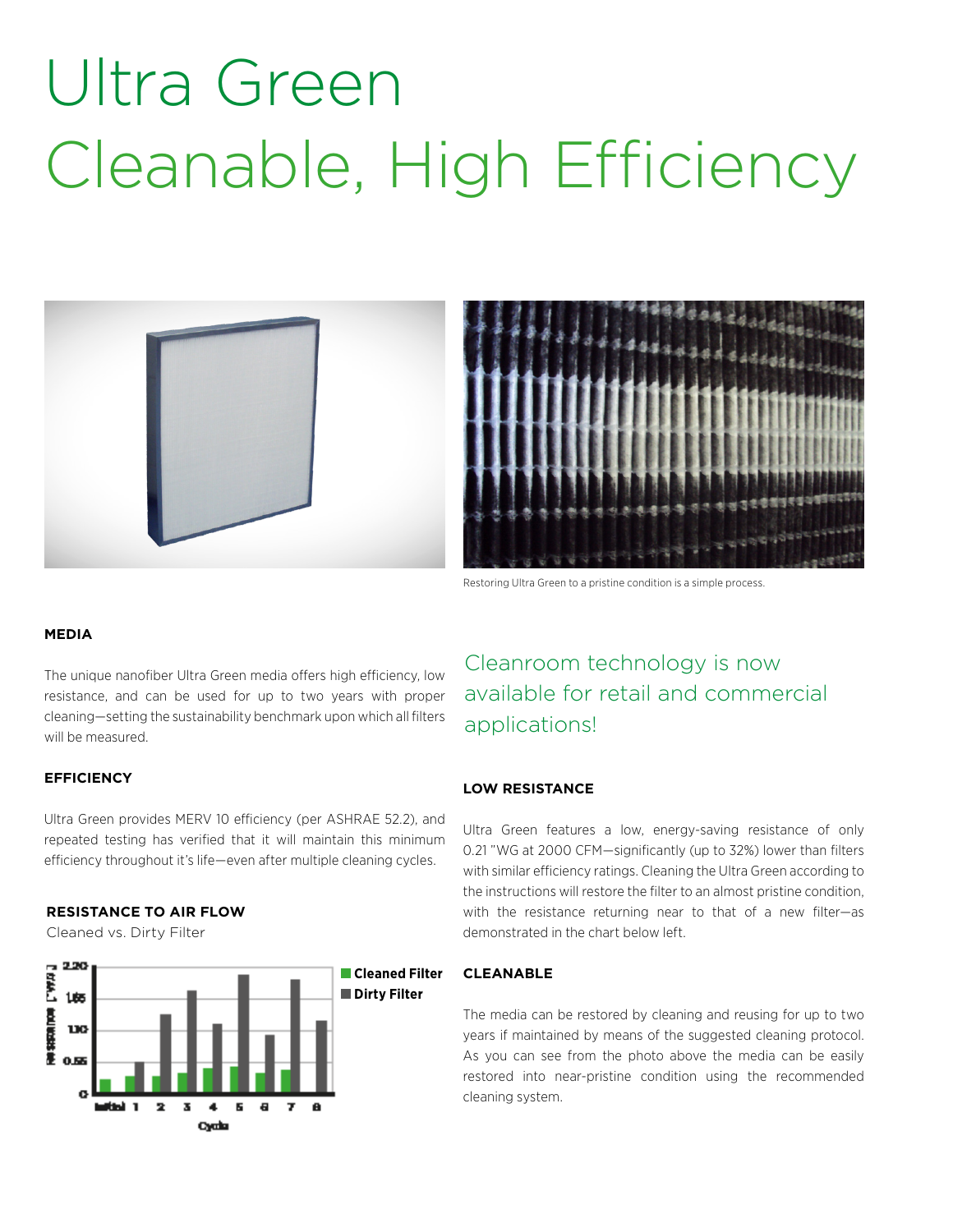# Ultra Green Cleanable, High Efficiency



Restoring Ultra Green to a pristine condition is a simple process.

#### **MEDIA**

The unique nanofiber Ultra Green media offers high efficiency, low resistance, and can be used for up to two years with proper cleaning—setting the sustainability benchmark upon which all filters will be measured.

### **EFFICIENCY**

Ultra Green provides MERV 10 efficiency (per ASHRAE 52.2), and repeated testing has verified that it will maintain this minimum efficiency throughout it's life—even after multiple cleaning cycles.

#### **RESISTANCE TO AIR FLOW**

Cleaned vs. Dirty Filter



Cleanroom technology is now available for retail and commercial applications!

#### **LOW RESISTANCE**

Ultra Green features a low, energy-saving resistance of only 0.21 "WG at 2000 CFM—significantly (up to 32%) lower than filters with similar efficiency ratings. Cleaning the Ultra Green according to the instructions will restore the filter to an almost pristine condition, with the resistance returning near to that of a new filter—as demonstrated in the chart below left.

### **CLEANABLE**

The media can be restored by cleaning and reusing for up to two years if maintained by means of the suggested cleaning protocol. As you can see from the photo above the media can be easily restored into near-pristine condition using the recommended cleaning system.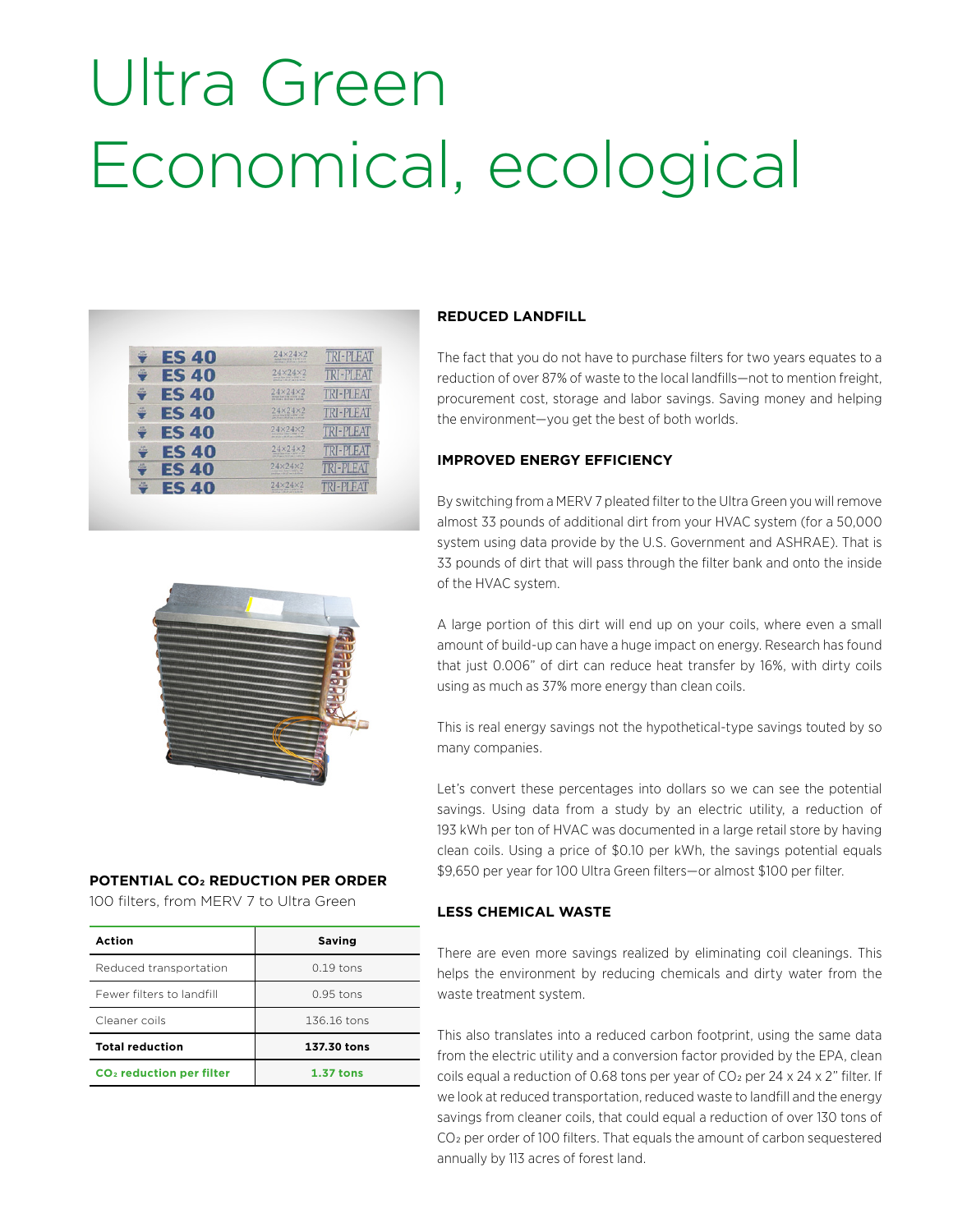# Ultra Green Economical, ecological

| AH<br><b>ES40</b><br>PLOW                      | $24\times24\times2$<br>nature from large in large in 190<br>the price is his 27 years in Arthur 1      | <b>TRI-PLEAT</b> |
|------------------------------------------------|--------------------------------------------------------------------------------------------------------|------------------|
| AH <sub>1</sub><br><b>ES 40</b><br><b>FLOW</b> | 24×24×2<br>Arrest has the within a re-<br>den since a let all am in a should                           | <b>TRI-PLEAT</b> |
| A4<br><b>ES 40</b><br>FLOW                     | $24\times24\times2$<br>Artist fine liver a long a bit<br>this close a bit 27 pe is a silver            | TRI-PLEAT        |
| AM<br><b>ES40</b><br><b>FLOW</b>               | 24×24×2<br>striking mine king of Albert wider<br>give prices in the off time is at whose               | TRI-PLEAT        |
| A-M<br><b>ES 40</b><br><b>FLOW</b>             | $24\times24\times2$<br>Artist Roy 22m's 2700' (100)<br>the stude is \$6.00 per trip wheel.             | $ P$ $HA$        |
| A4<br><b>ES 40</b><br><b>PLOW</b>              | $24\times24\times2$<br>Annual Rice (1706) is arrived for<br>constructs in the for any or in this band. |                  |
| A.P<br><b>ES40</b><br><b>PLOW</b>              | $24\times24\times2$<br>Artist Box Sills is kild in H.<br>providing a lot of my is distingly            | ٠                |
| <b>AP</b><br><b>ES 40</b><br><b>PLOW</b>       | $24 \times 24 \times 2$<br>America (Fe's 109's) P<br>tell company in the set year in at this lead      | ı.               |

# **REDUCED LANDFILL**

The fact that you do not have to purchase filters for two years equates to a reduction of over 87% of waste to the local landfills—not to mention freight, procurement cost, storage and labor savings. Saving money and helping the environment—you get the best of both worlds.

# **IMPROVED ENERGY EFFICIENCY**

By switching from a MERV 7 pleated filter to the Ultra Green you will remove almost 33 pounds of additional dirt from your HVAC system (for a 50,000 system using data provide by the U.S. Government and ASHRAE). That is 33 pounds of dirt that will pass through the filter bank and onto the inside of the HVAC system.

A large portion of this dirt will end up on your coils, where even a small amount of build-up can have a huge impact on energy. Research has found that just 0.006" of dirt can reduce heat transfer by 16%, with dirty coils using as much as 37% more energy than clean coils.

This is real energy savings not the hypothetical-type savings touted by so many companies.

Let's convert these percentages into dollars so we can see the potential savings. Using data from a study by an electric utility, a reduction of 193 kWh per ton of HVAC was documented in a large retail store by having clean coils. Using a price of \$0.10 per kWh, the savings potential equals \$9,650 per year for 100 Ultra Green filters—or almost \$100 per filter.

# **LESS CHEMICAL WASTE**

There are even more savings realized by eliminating coil cleanings. This helps the environment by reducing chemicals and dirty water from the waste treatment system.

This also translates into a reduced carbon footprint, using the same data from the electric utility and a conversion factor provided by the EPA, clean coils equal a reduction of 0.68 tons per year of CO<sub>2</sub> per 24 x 24 x 2" filter. If we look at reduced transportation, reduced waste to landfill and the energy savings from cleaner coils, that could equal a reduction of over 130 tons of CO2 per order of 100 filters. That equals the amount of carbon sequestered annually by 113 acres of forest land.



# **POTENTIAL CO2 REDUCTION PER ORDER**

100 filters, from MERV 7 to Ultra Green

| Action                               | Saving      |
|--------------------------------------|-------------|
| Reduced transportation               | $0.19$ tons |
| Fewer filters to landfill            | $0.95$ tons |
| Cleaner coils                        | 136.16 tons |
| <b>Total reduction</b>               | 137.30 tons |
| CO <sub>2</sub> reduction per filter | $1.37$ tons |